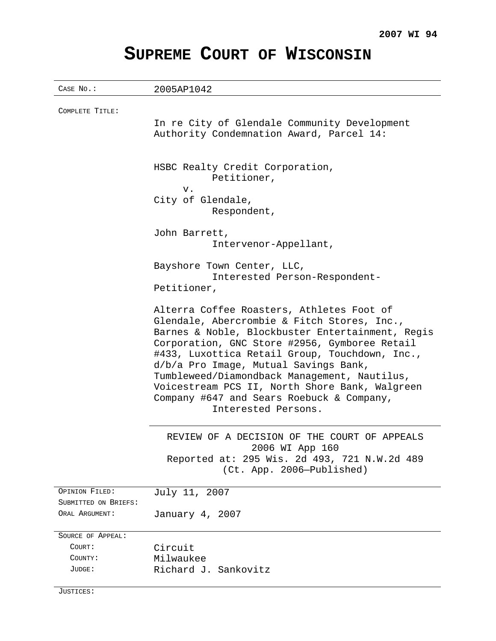# **SUPREME COURT OF WISCONSIN**

CASE No.: 2005AP1042 COMPLETE TITLE: In re City of Glendale Community Development Authority Condemnation Award, Parcel 14: HSBC Realty Credit Corporation, Petitioner, v. City of Glendale, Respondent, John Barrett, Intervenor-Appellant, Bayshore Town Center, LLC, Interested Person-Respondent-Petitioner, Alterra Coffee Roasters, Athletes Foot of Glendale, Abercrombie & Fitch Stores, Inc., Barnes & Noble, Blockbuster Entertainment, Regis Corporation, GNC Store #2956, Gymboree Retail #433, Luxottica Retail Group, Touchdown, Inc., d/b/a Pro Image, Mutual Savings Bank, Tumbleweed/Diamondback Management, Nautilus, Voicestream PCS II, North Shore Bank, Walgreen Company #647 and Sears Roebuck & Company, Interested Persons. REVIEW OF A DECISION OF THE COURT OF APPEALS 2006 WI App 160 Reported at: 295 Wis. 2d 493, 721 N.W.2d 489 (Ct. App. 2006—Published) OPINION FILED: July 11, 2007 SUBMITTED ON BRIEFS: ORAL ARGUMENT: January 4, 2007 SOURCE OF APPEAL: COURT: Circuit COUNTY: Milwaukee JUDGE: Richard J. Sankovitz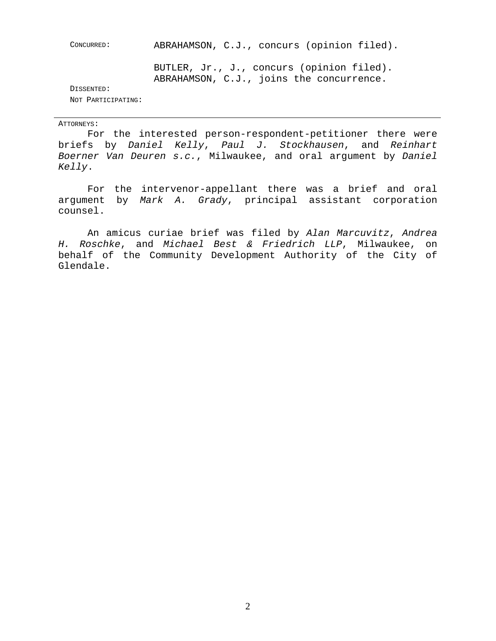| CONCURRED:         | ABRAHAMSON, C.J., concurs (opinion filed).                                            |
|--------------------|---------------------------------------------------------------------------------------|
|                    | BUTLER, Jr., J., concurs (opinion filed).<br>ABRAHAMSON, C.J., joins the concurrence. |
| DISSENTED:         |                                                                                       |
| NOT PARTICIPATING: |                                                                                       |

#### ATTORNEYS:

For the interested person-respondent-petitioner there were briefs by Daniel Kelly, Paul J. Stockhausen, and Reinhart Boerner Van Deuren s.c., Milwaukee, and oral argument by Daniel Kelly.

For the intervenor-appellant there was a brief and oral argument by Mark A. Grady, principal assistant corporation counsel.

An amicus curiae brief was filed by Alan Marcuvitz, Andrea H. Roschke, and Michael Best & Friedrich LLP, Milwaukee, on behalf of the Community Development Authority of the City of Glendale.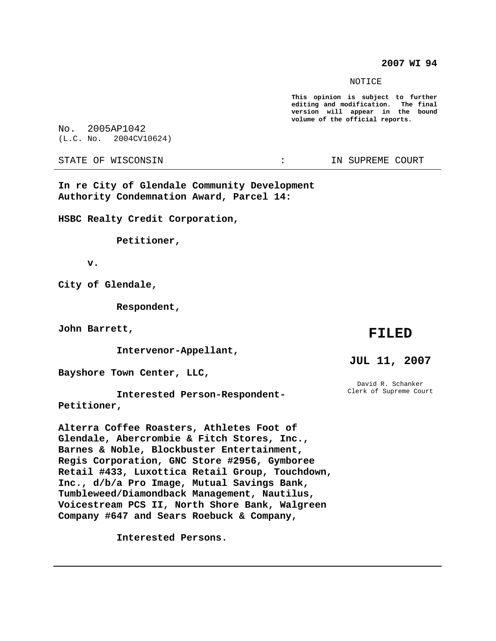**2007 WI 94**

NOTICE

**This opinion is subject to further editing and modification. The final version will appear in the bound volume of the official reports.**

No. 2005AP1042 (L.C. No. 2004CV10624)

STATE OF WISCONSIN THE RESERVE OF STATE OF WISCONSIN

**In re City of Glendale Community Development Authority Condemnation Award, Parcel 14:**

**HSBC Realty Credit Corporation,**

**Petitioner,**

**v.**

**City of Glendale,**

**Respondent,**

**John Barrett,**

**Intervenor-Appellant,**

**Bayshore Town Center, LLC,**

**Interested Person-Respondent-Petitioner,**

**Alterra Coffee Roasters, Athletes Foot of Glendale, Abercrombie & Fitch Stores, Inc., Barnes & Noble, Blockbuster Entertainment, Regis Corporation, GNC Store #2956, Gymboree Retail #433, Luxottica Retail Group, Touchdown, Inc., d/b/a Pro Image, Mutual Savings Bank, Tumbleweed/Diamondback Management, Nautilus, Voicestream PCS II, North Shore Bank, Walgreen Company #647 and Sears Roebuck & Company,**

**Interested Persons.**

## **FILED**

#### **JUL 11, 2007**

David R. Schanker Clerk of Supreme Court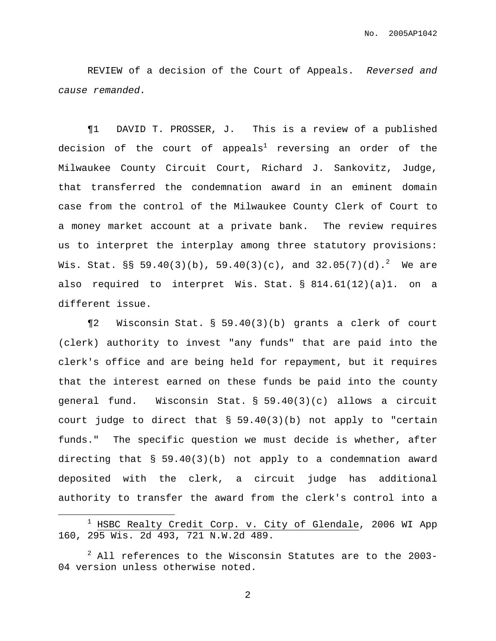REVIEW of a decision of the Court of Appeals. Reversed and cause remanded.

¶1 DAVID T. PROSSER, J. This is a review of a published decision of the court of appeals<sup>1</sup> reversing an order of the Milwaukee County Circuit Court, Richard J. Sankovitz, Judge, that transferred the condemnation award in an eminent domain case from the control of the Milwaukee County Clerk of Court to a money market account at a private bank. The review requires us to interpret the interplay among three statutory provisions: Wis. Stat. §§ 59.40(3)(b), 59.40(3)(c), and 32.05(7)(d). $^2$  We are also required to interpret Wis. Stat. § 814.61(12)(a)1. on a different issue.

¶2 Wisconsin Stat. § 59.40(3)(b) grants a clerk of court (clerk) authority to invest "any funds" that are paid into the clerk's office and are being held for repayment, but it requires that the interest earned on these funds be paid into the county general fund. Wisconsin Stat. § 59.40(3)(c) allows a circuit court judge to direct that § 59.40(3)(b) not apply to "certain funds." The specific question we must decide is whether, after directing that § 59.40(3)(b) not apply to a condemnation award deposited with the clerk, a circuit judge has additional authority to transfer the award from the clerk's control into a

 $1$  HSBC Realty Credit Corp. v. City of Glendale, 2006 WI App 160, 295 Wis. 2d 493, 721 N.W.2d 489.

 $2$  All references to the Wisconsin Statutes are to the 2003-04 version unless otherwise noted.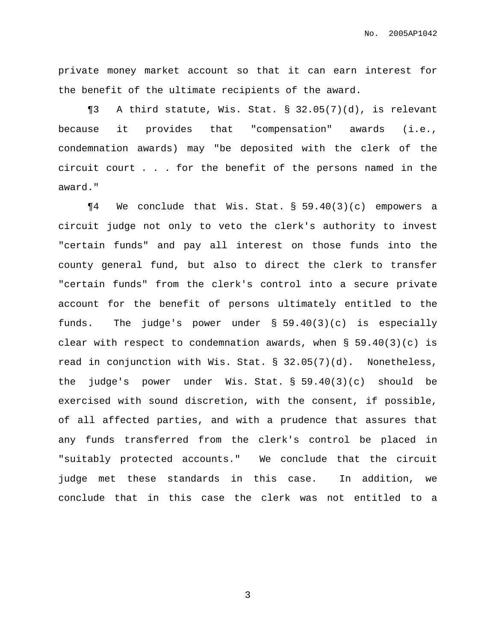private money market account so that it can earn interest for the benefit of the ultimate recipients of the award.

¶3 A third statute, Wis. Stat. § 32.05(7)(d), is relevant because it provides that "compensation" awards (i.e., condemnation awards) may "be deposited with the clerk of the circuit court . . . for the benefit of the persons named in the award."

¶4 We conclude that Wis. Stat. § 59.40(3)(c) empowers a circuit judge not only to veto the clerk's authority to invest "certain funds" and pay all interest on those funds into the county general fund, but also to direct the clerk to transfer "certain funds" from the clerk's control into a secure private account for the benefit of persons ultimately entitled to the funds. The judge's power under § 59.40(3)(c) is especially clear with respect to condemnation awards, when § 59.40(3)(c) is read in conjunction with Wis. Stat. § 32.05(7)(d). Nonetheless, the judge's power under Wis. Stat. § 59.40(3)(c) should be exercised with sound discretion, with the consent, if possible, of all affected parties, and with a prudence that assures that any funds transferred from the clerk's control be placed in "suitably protected accounts." We conclude that the circuit judge met these standards in this case. In addition, we conclude that in this case the clerk was not entitled to a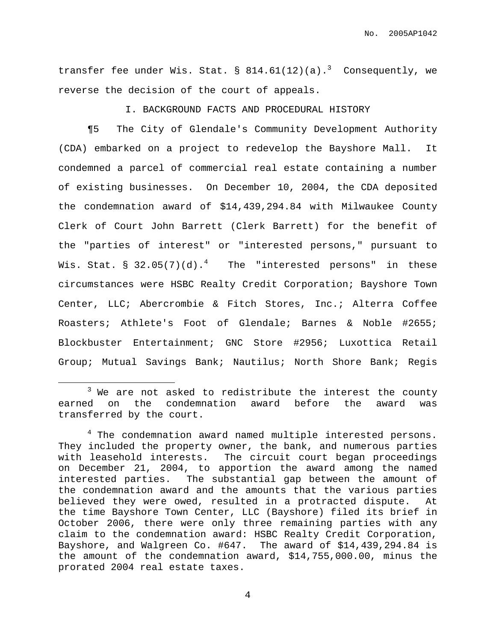transfer fee under Wis. Stat.  $\S$  814.61(12)(a).<sup>3</sup> Consequently, we reverse the decision of the court of appeals.

I. BACKGROUND FACTS AND PROCEDURAL HISTORY

¶5 The City of Glendale's Community Development Authority (CDA) embarked on a project to redevelop the Bayshore Mall. It condemned a parcel of commercial real estate containing a number of existing businesses. On December 10, 2004, the CDA deposited the condemnation award of \$14,439,294.84 with Milwaukee County Clerk of Court John Barrett (Clerk Barrett) for the benefit of the "parties of interest" or "interested persons," pursuant to Wis. Stat. § 32.05(7)(d). $^4$  The "interested persons" in these circumstances were HSBC Realty Credit Corporation; Bayshore Town Center, LLC; Abercrombie & Fitch Stores, Inc.; Alterra Coffee Roasters; Athlete's Foot of Glendale; Barnes & Noble #2655; Blockbuster Entertainment; GNC Store #2956; Luxottica Retail Group; Mutual Savings Bank; Nautilus; North Shore Bank; Regis

 $3$  We are not asked to redistribute the interest the county earned on the condemnation award before the award was transferred by the court.

<sup>&</sup>lt;sup>4</sup> The condemnation award named multiple interested persons. They included the property owner, the bank, and numerous parties with leasehold interests. The circuit court began proceedings on December 21, 2004, to apportion the award among the named interested parties. The substantial gap between the amount of the condemnation award and the amounts that the various parties believed they were owed, resulted in a protracted dispute. At the time Bayshore Town Center, LLC (Bayshore) filed its brief in October 2006, there were only three remaining parties with any claim to the condemnation award: HSBC Realty Credit Corporation, Bayshore, and Walgreen Co. #647. The award of \$14,439,294.84 is the amount of the condemnation award, \$14,755,000.00, minus the prorated 2004 real estate taxes.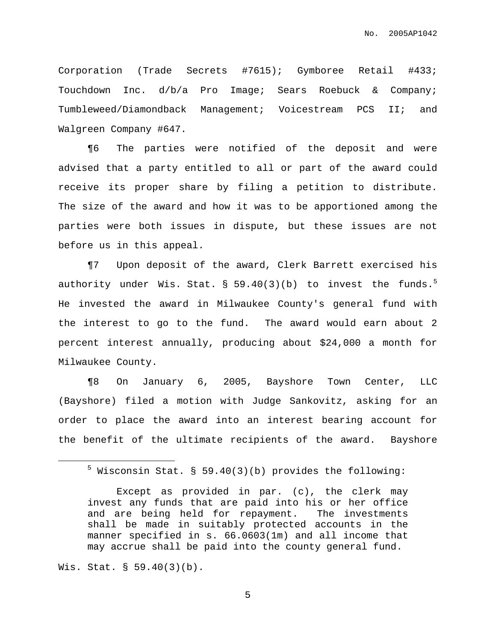Corporation (Trade Secrets #7615); Gymboree Retail #433; Touchdown Inc. d/b/a Pro Image; Sears Roebuck & Company; Tumbleweed/Diamondback Management; Voicestream PCS II; and Walgreen Company #647.

¶6 The parties were notified of the deposit and were advised that a party entitled to all or part of the award could receive its proper share by filing a petition to distribute. The size of the award and how it was to be apportioned among the parties were both issues in dispute, but these issues are not before us in this appeal.

¶7 Upon deposit of the award, Clerk Barrett exercised his authority under Wis. Stat. § 59.40(3)(b) to invest the funds. $^5$ He invested the award in Milwaukee County's general fund with the interest to go to the fund. The award would earn about 2 percent interest annually, producing about \$24,000 a month for Milwaukee County.

¶8 On January 6, 2005, Bayshore Town Center, LLC (Bayshore) filed a motion with Judge Sankovitz, asking for an order to place the award into an interest bearing account for the benefit of the ultimate recipients of the award. Bayshore

#### Wis. Stat. § 59.40(3)(b).

 $5$  Wisconsin Stat. § 59.40(3)(b) provides the following:

Except as provided in par. (c), the clerk may invest any funds that are paid into his or her office and are being held for repayment. The investments shall be made in suitably protected accounts in the manner specified in s. 66.0603(1m) and all income that may accrue shall be paid into the county general fund.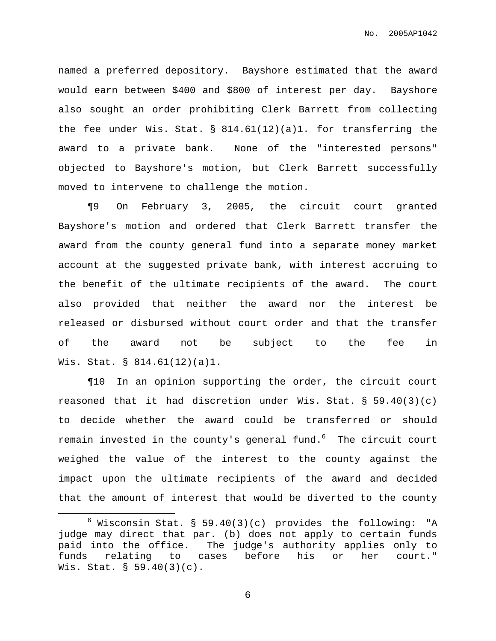named a preferred depository. Bayshore estimated that the award would earn between \$400 and \$800 of interest per day. Bayshore also sought an order prohibiting Clerk Barrett from collecting the fee under Wis. Stat. § 814.61(12)(a)1. for transferring the award to a private bank. None of the "interested persons" objected to Bayshore's motion, but Clerk Barrett successfully moved to intervene to challenge the motion.

¶9 On February 3, 2005, the circuit court granted Bayshore's motion and ordered that Clerk Barrett transfer the award from the county general fund into a separate money market account at the suggested private bank, with interest accruing to the benefit of the ultimate recipients of the award. The court also provided that neither the award nor the interest be released or disbursed without court order and that the transfer of the award not be subject to the fee in Wis. Stat. § 814.61(12)(a)1.

¶10 In an opinion supporting the order, the circuit court reasoned that it had discretion under Wis. Stat.  $\S$  59.40(3)(c) to decide whether the award could be transferred or should remain invested in the county's general fund. <sup>6</sup> The circuit court weighed the value of the interest to the county against the impact upon the ultimate recipients of the award and decided that the amount of interest that would be diverted to the county

 $6$  Wisconsin Stat. § 59.40(3)(c) provides the following: "A judge may direct that par. (b) does not apply to certain funds paid into the office. The judge's authority applies only to funds relating to cases before his or her court." Wis. Stat. § 59.40(3)(c).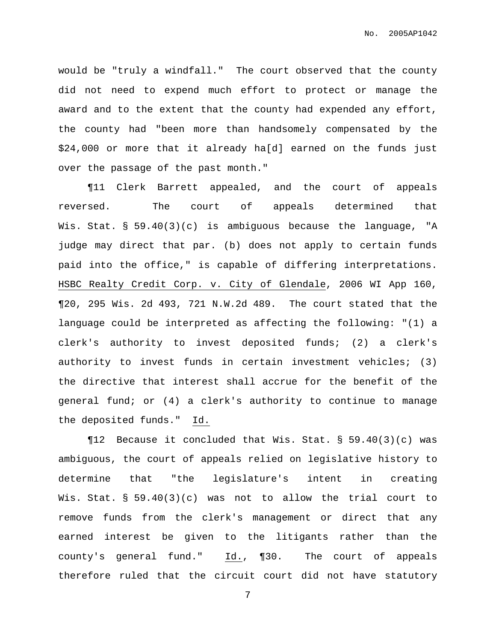would be "truly a windfall." The court observed that the county did not need to expend much effort to protect or manage the award and to the extent that the county had expended any effort, the county had "been more than handsomely compensated by the \$24,000 or more that it already ha[d] earned on the funds just over the passage of the past month."

¶11 Clerk Barrett appealed, and the court of appeals reversed. The court of appeals determined that Wis. Stat. § 59.40(3)(c) is ambiguous because the language, "A judge may direct that par. (b) does not apply to certain funds paid into the office," is capable of differing interpretations. HSBC Realty Credit Corp. v. City of Glendale, 2006 WI App 160, ¶20, 295 Wis. 2d 493, 721 N.W.2d 489. The court stated that the language could be interpreted as affecting the following: "(1) a clerk's authority to invest deposited funds; (2) a clerk's authority to invest funds in certain investment vehicles; (3) the directive that interest shall accrue for the benefit of the general fund; or (4) a clerk's authority to continue to manage the deposited funds." Id.

¶12 Because it concluded that Wis. Stat. § 59.40(3)(c) was ambiguous, the court of appeals relied on legislative history to determine that "the legislature's intent in creating Wis. Stat. § 59.40(3)(c) was not to allow the trial court to remove funds from the clerk's management or direct that any earned interest be given to the litigants rather than the county's general fund." Id., ¶30. The court of appeals therefore ruled that the circuit court did not have statutory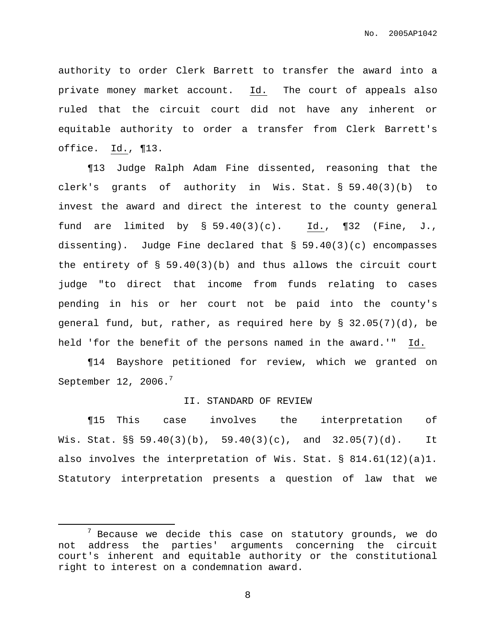authority to order Clerk Barrett to transfer the award into a private money market account. Id. The court of appeals also ruled that the circuit court did not have any inherent or equitable authority to order a transfer from Clerk Barrett's office. Id., ¶13.

¶13 Judge Ralph Adam Fine dissented, reasoning that the clerk's grants of authority in Wis. Stat. § 59.40(3)(b) to invest the award and direct the interest to the county general fund are limited by § 59.40(3)(c). Id., ¶32 (Fine, J., dissenting). Judge Fine declared that § 59.40(3)(c) encompasses the entirety of § 59.40(3)(b) and thus allows the circuit court judge "to direct that income from funds relating to cases pending in his or her court not be paid into the county's general fund, but, rather, as required here by § 32.05(7)(d), be held 'for the benefit of the persons named in the award.'" Id.

¶14 Bayshore petitioned for review, which we granted on September 12, 2006. $^7$ 

#### II. STANDARD OF REVIEW

¶15 This case involves the interpretation of Wis. Stat. §§ 59.40(3)(b), 59.40(3)(c), and 32.05(7)(d). It also involves the interpretation of Wis. Stat. § 814.61(12)(a)1. Statutory interpretation presents a question of law that we

 $7$  Because we decide this case on statutory grounds, we do not address the parties' arguments concerning the circuit court's inherent and equitable authority or the constitutional right to interest on a condemnation award.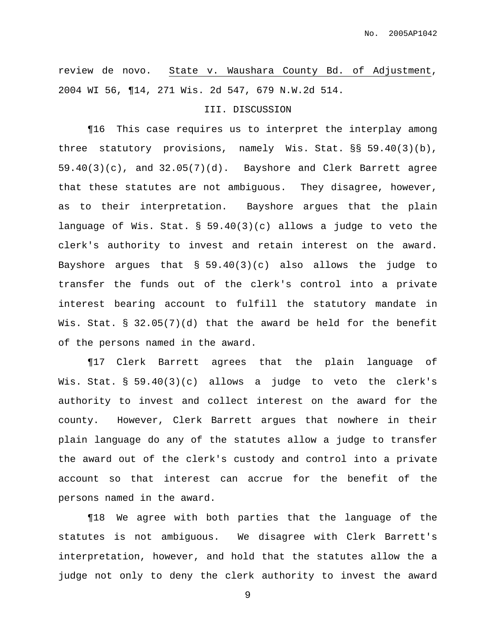review de novo. State v. Waushara County Bd. of Adjustment, 2004 WI 56, ¶14, 271 Wis. 2d 547, 679 N.W.2d 514.

#### III. DISCUSSION

¶16 This case requires us to interpret the interplay among three statutory provisions, namely Wis. Stat. §§ 59.40(3)(b), 59.40(3)(c), and 32.05(7)(d). Bayshore and Clerk Barrett agree that these statutes are not ambiguous. They disagree, however, as to their interpretation. Bayshore argues that the plain language of Wis. Stat. § 59.40(3)(c) allows a judge to veto the clerk's authority to invest and retain interest on the award. Bayshore argues that § 59.40(3)(c) also allows the judge to transfer the funds out of the clerk's control into a private interest bearing account to fulfill the statutory mandate in Wis. Stat. § 32.05(7)(d) that the award be held for the benefit of the persons named in the award.

¶17 Clerk Barrett agrees that the plain language of Wis. Stat. § 59.40(3)(c) allows a judge to veto the clerk's authority to invest and collect interest on the award for the county. However, Clerk Barrett argues that nowhere in their plain language do any of the statutes allow a judge to transfer the award out of the clerk's custody and control into a private account so that interest can accrue for the benefit of the persons named in the award.

¶18 We agree with both parties that the language of the statutes is not ambiguous. We disagree with Clerk Barrett's interpretation, however, and hold that the statutes allow the a judge not only to deny the clerk authority to invest the award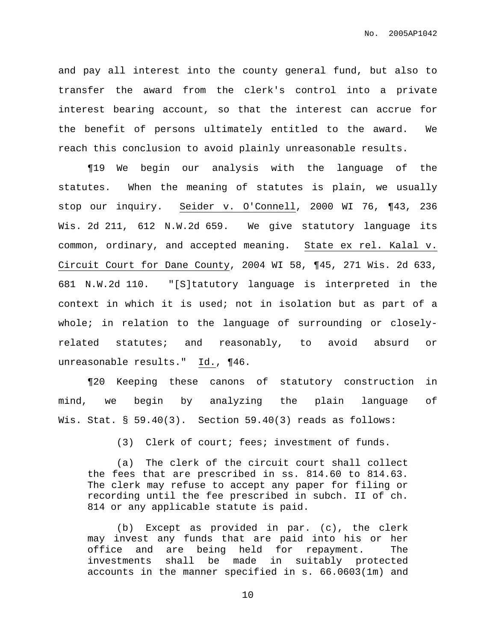and pay all interest into the county general fund, but also to transfer the award from the clerk's control into a private interest bearing account, so that the interest can accrue for the benefit of persons ultimately entitled to the award. We reach this conclusion to avoid plainly unreasonable results.

¶19 We begin our analysis with the language of the statutes. When the meaning of statutes is plain, we usually stop our inquiry. Seider v. O'Connell, 2000 WI 76, ¶43, 236 Wis. 2d 211, 612 N.W.2d 659. We give statutory language its common, ordinary, and accepted meaning. State ex rel. Kalal v. Circuit Court for Dane County, 2004 WI 58, ¶45, 271 Wis. 2d 633, 681 N.W.2d 110. "[S]tatutory language is interpreted in the context in which it is used; not in isolation but as part of a whole; in relation to the language of surrounding or closelyrelated statutes; and reasonably, to avoid absurd or unreasonable results." Id., 146.

¶20 Keeping these canons of statutory construction in mind, we begin by analyzing the plain language of Wis. Stat.  $\S$  59.40(3). Section 59.40(3) reads as follows:

(3) Clerk of court; fees; investment of funds.

(a) The clerk of the circuit court shall collect the fees that are prescribed in ss. 814.60 to 814.63. The clerk may refuse to accept any paper for filing or recording until the fee prescribed in subch. II of ch. 814 or any applicable statute is paid.

(b) Except as provided in par. (c), the clerk may invest any funds that are paid into his or her office and are being held for repayment. The investments shall be made in suitably protected accounts in the manner specified in s. 66.0603(1m) and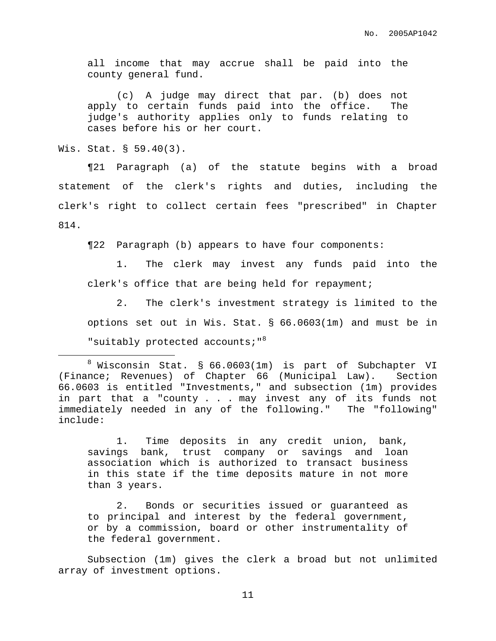all income that may accrue shall be paid into the county general fund.

(c) A judge may direct that par. (b) does not apply to certain funds paid into the office. The judge's authority applies only to funds relating to cases before his or her court.

Wis. Stat. § 59.40(3).

¶21 Paragraph (a) of the statute begins with a broad statement of the clerk's rights and duties, including the clerk's right to collect certain fees "prescribed" in Chapter 814.

¶22 Paragraph (b) appears to have four components:

1. The clerk may invest any funds paid into the clerk's office that are being held for repayment;

2. The clerk's investment strategy is limited to the options set out in Wis. Stat. § 66.0603(1m) and must be in "suitably protected accounts; "<sup>8</sup>

1. Time deposits in any credit union, bank, savings bank, trust company or savings and loan association which is authorized to transact business in this state if the time deposits mature in not more than 3 years.

2. Bonds or securities issued or guaranteed as to principal and interest by the federal government, or by a commission, board or other instrumentality of the federal government.

Subsection (1m) gives the clerk a broad but not unlimited array of investment options.

<sup>8</sup> Wisconsin Stat. § 66.0603(1m) is part of Subchapter VI (Finance; Revenues) of Chapter 66 (Municipal Law). Section 66.0603 is entitled "Investments," and subsection (1m) provides in part that a "county . . . may invest any of its funds not immediately needed in any of the following." The "following" include: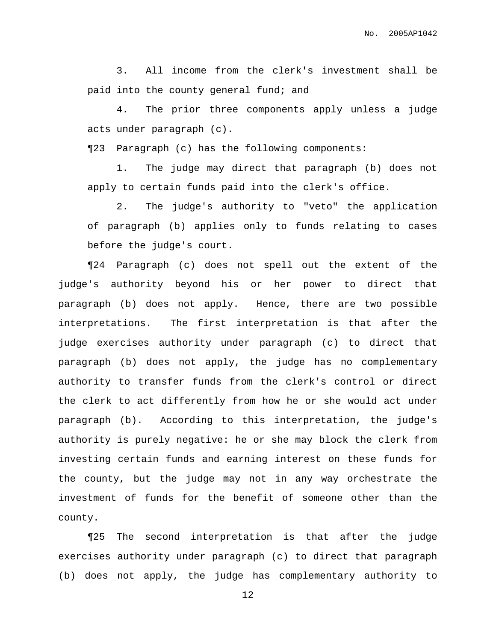3. All income from the clerk's investment shall be paid into the county general fund; and

4. The prior three components apply unless a judge acts under paragraph (c).

¶23 Paragraph (c) has the following components:

1. The judge may direct that paragraph (b) does not apply to certain funds paid into the clerk's office.

2. The judge's authority to "veto" the application of paragraph (b) applies only to funds relating to cases before the judge's court.

¶24 Paragraph (c) does not spell out the extent of the judge's authority beyond his or her power to direct that paragraph (b) does not apply. Hence, there are two possible interpretations. The first interpretation is that after the judge exercises authority under paragraph (c) to direct that paragraph (b) does not apply, the judge has no complementary authority to transfer funds from the clerk's control or direct the clerk to act differently from how he or she would act under paragraph (b). According to this interpretation, the judge's authority is purely negative: he or she may block the clerk from investing certain funds and earning interest on these funds for the county, but the judge may not in any way orchestrate the investment of funds for the benefit of someone other than the county.

¶25 The second interpretation is that after the judge exercises authority under paragraph (c) to direct that paragraph (b) does not apply, the judge has complementary authority to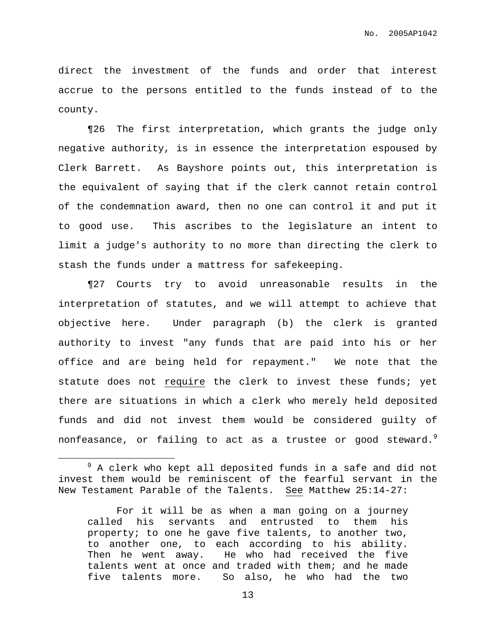direct the investment of the funds and order that interest accrue to the persons entitled to the funds instead of to the county.

¶26 The first interpretation, which grants the judge only negative authority, is in essence the interpretation espoused by Clerk Barrett. As Bayshore points out, this interpretation is the equivalent of saying that if the clerk cannot retain control of the condemnation award, then no one can control it and put it to good use. This ascribes to the legislature an intent to limit a judge's authority to no more than directing the clerk to stash the funds under a mattress for safekeeping.

¶27 Courts try to avoid unreasonable results in the interpretation of statutes, and we will attempt to achieve that objective here. Under paragraph (b) the clerk is granted authority to invest "any funds that are paid into his or her office and are being held for repayment." We note that the statute does not require the clerk to invest these funds; yet there are situations in which a clerk who merely held deposited funds and did not invest them would be considered guilty of nonfeasance, or failing to act as a trustee or good steward. $^9$ 

 $9$  A clerk who kept all deposited funds in a safe and did not invest them would be reminiscent of the fearful servant in the New Testament Parable of the Talents. See Matthew 25:14-27:

For it will be as when a man going on a journey called his servants and entrusted to them his property; to one he gave five talents, to another two, to another one, to each according to his ability. Then he went away. He who had received the five talents went at once and traded with them; and he made five talents more. So also, he who had the two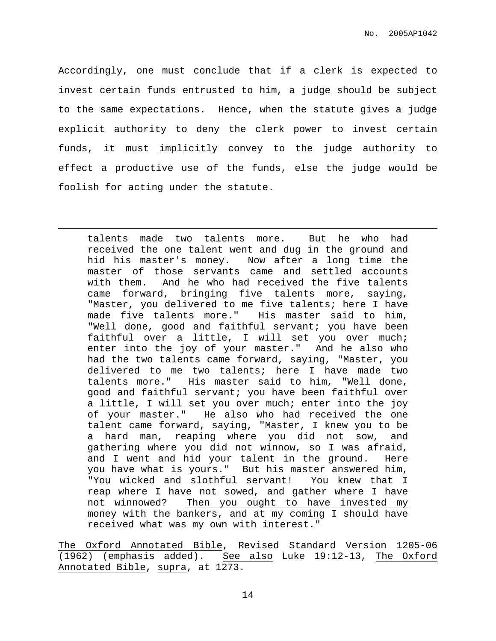Accordingly, one must conclude that if a clerk is expected to invest certain funds entrusted to him, a judge should be subject to the same expectations. Hence, when the statute gives a judge explicit authority to deny the clerk power to invest certain funds, it must implicitly convey to the judge authority to effect a productive use of the funds, else the judge would be foolish for acting under the statute.

talents made two talents more. But he who had received the one talent went and dug in the ground and hid his master's money. Now after a long time the master of those servants came and settled accounts with them. And he who had received the five talents came forward, bringing five talents more, saying, "Master, you delivered to me five talents; here I have made five talents more." His master said to him, "Well done, good and faithful servant; you have been faithful over a little, I will set you over much; enter into the joy of your master." And he also who had the two talents came forward, saying, "Master, you delivered to me two talents; here I have made two talents more." His master said to him, "Well done, good and faithful servant; you have been faithful over a little, I will set you over much; enter into the joy of your master." He also who had received the one talent came forward, saying, "Master, I knew you to be a hard man, reaping where you did not sow, and gathering where you did not winnow, so I was afraid, and I went and hid your talent in the ground. Here you have what is yours." But his master answered him, "You wicked and slothful servant! You knew that I reap where I have not sowed, and gather where I have not winnowed? Then you ought to have invested my money with the bankers, and at my coming I should have received what was my own with interest."

The Oxford Annotated Bible, Revised Standard Version 1205-06 (1962) (emphasis added). See also Luke 19:12-13, The Oxford Annotated Bible, supra, at 1273.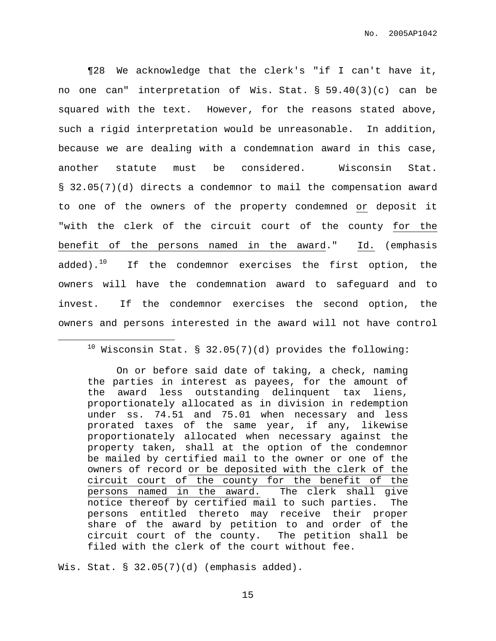¶28 We acknowledge that the clerk's "if I can't have it, no one can" interpretation of Wis. Stat. § 59.40(3)(c) can be squared with the text. However, for the reasons stated above, such a rigid interpretation would be unreasonable. In addition, because we are dealing with a condemnation award in this case, another statute must be considered. Wisconsin Stat. § 32.05(7)(d) directs a condemnor to mail the compensation award to one of the owners of the property condemned or deposit it "with the clerk of the circuit court of the county for the benefit of the persons named in the award." Id. (emphasis added).<sup>10</sup> If the condemnor exercises the first option, the owners will have the condemnation award to safeguard and to invest. If the condemnor exercises the second option, the owners and persons interested in the award will not have control

## $10$  Wisconsin Stat. § 32.05(7)(d) provides the following:

On or before said date of taking, a check, naming the parties in interest as payees, for the amount of the award less outstanding delinquent tax liens, proportionately allocated as in division in redemption under ss. 74.51 and 75.01 when necessary and less prorated taxes of the same year, if any, likewise proportionately allocated when necessary against the property taken, shall at the option of the condemnor be mailed by certified mail to the owner or one of the owners of record or be deposited with the clerk of the circuit court of the county for the benefit of the persons named in the award. The clerk shall give notice thereof by certified mail to such parties. The persons entitled thereto may receive their proper share of the award by petition to and order of the circuit court of the county. The petition shall be filed with the clerk of the court without fee.

Wis. Stat. § 32.05(7)(d) (emphasis added).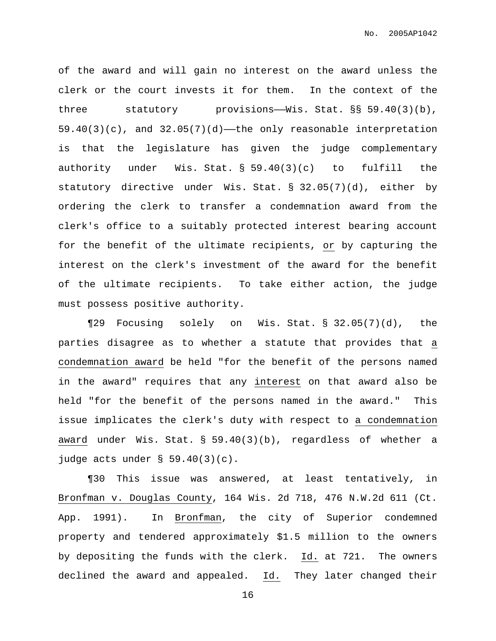of the award and will gain no interest on the award unless the clerk or the court invests it for them. In the context of the three statutory provisions——Wis. Stat. §§ 59.40(3)(b),  $59.40(3)(c)$ , and  $32.05(7)(d)$ —the only reasonable interpretation is that the legislature has given the judge complementary authority under Wis. Stat. § 59.40(3)(c) to fulfill the statutory directive under Wis. Stat. § 32.05(7)(d), either by ordering the clerk to transfer a condemnation award from the clerk's office to a suitably protected interest bearing account for the benefit of the ultimate recipients, or by capturing the interest on the clerk's investment of the award for the benefit of the ultimate recipients. To take either action, the judge must possess positive authority.

¶29 Focusing solely on Wis. Stat. § 32.05(7)(d), the parties disagree as to whether a statute that provides that a condemnation award be held "for the benefit of the persons named in the award" requires that any interest on that award also be held "for the benefit of the persons named in the award." This issue implicates the clerk's duty with respect to a condemnation award under Wis. Stat. § 59.40(3)(b), regardless of whether a judge acts under § 59.40(3)(c).

¶30 This issue was answered, at least tentatively, in Bronfman v. Douglas County, 164 Wis. 2d 718, 476 N.W.2d 611 (Ct. App. 1991). In Bronfman, the city of Superior condemned property and tendered approximately \$1.5 million to the owners by depositing the funds with the clerk. Id. at 721. The owners declined the award and appealed. Id. They later changed their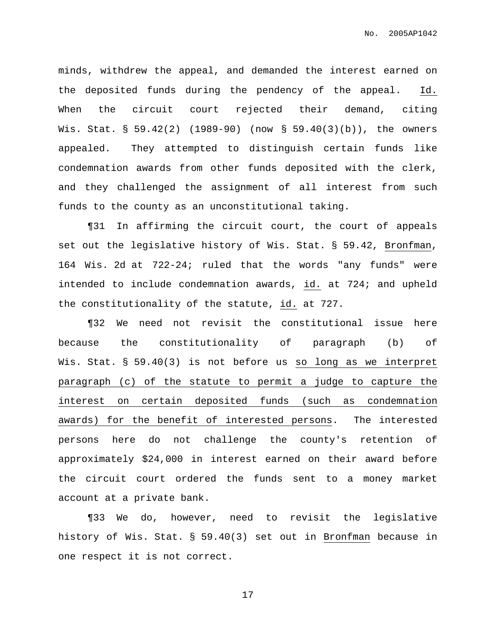minds, withdrew the appeal, and demanded the interest earned on the deposited funds during the pendency of the appeal. Id. When the circuit court rejected their demand, citing Wis. Stat. § 59.42(2) (1989-90) (now § 59.40(3)(b)), the owners appealed. They attempted to distinguish certain funds like condemnation awards from other funds deposited with the clerk, and they challenged the assignment of all interest from such funds to the county as an unconstitutional taking.

¶31 In affirming the circuit court, the court of appeals set out the legislative history of Wis. Stat. § 59.42, Bronfman, 164 Wis. 2d at 722-24; ruled that the words "any funds" were intended to include condemnation awards, id. at 724; and upheld the constitutionality of the statute, id. at 727.

¶32 We need not revisit the constitutional issue here because the constitutionality of paragraph (b) of Wis. Stat. § 59.40(3) is not before us so long as we interpret paragraph (c) of the statute to permit a judge to capture the interest on certain deposited funds (such as condemnation awards) for the benefit of interested persons. The interested persons here do not challenge the county's retention of approximately \$24,000 in interest earned on their award before the circuit court ordered the funds sent to a money market account at a private bank.

¶33 We do, however, need to revisit the legislative history of Wis. Stat. § 59.40(3) set out in Bronfman because in one respect it is not correct.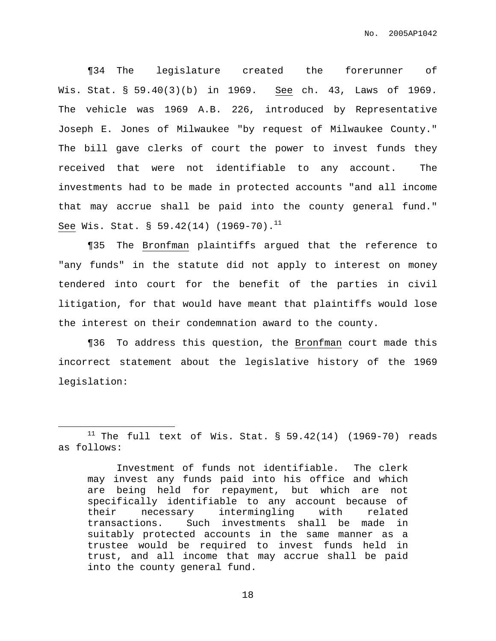¶34 The legislature created the forerunner of Wis. Stat. § 59.40(3)(b) in 1969. See ch. 43, Laws of 1969. The vehicle was 1969 A.B. 226, introduced by Representative Joseph E. Jones of Milwaukee "by request of Milwaukee County." The bill gave clerks of court the power to invest funds they received that were not identifiable to any account. The investments had to be made in protected accounts "and all income that may accrue shall be paid into the county general fund." See Wis. Stat. § 59.42(14) (1969-70). $^{11}$ 

¶35 The Bronfman plaintiffs argued that the reference to "any funds" in the statute did not apply to interest on money tendered into court for the benefit of the parties in civil litigation, for that would have meant that plaintiffs would lose the interest on their condemnation award to the county.

¶36 To address this question, the Bronfman court made this incorrect statement about the legislative history of the 1969 legislation:

<sup>&</sup>lt;sup>11</sup> The full text of Wis. Stat. § 59.42(14) (1969-70) reads as follows:

Investment of funds not identifiable. The clerk may invest any funds paid into his office and which are being held for repayment, but which are not specifically identifiable to any account because of their necessary intermingling with related transactions. Such investments shall be made in suitably protected accounts in the same manner as a trustee would be required to invest funds held in trust, and all income that may accrue shall be paid into the county general fund.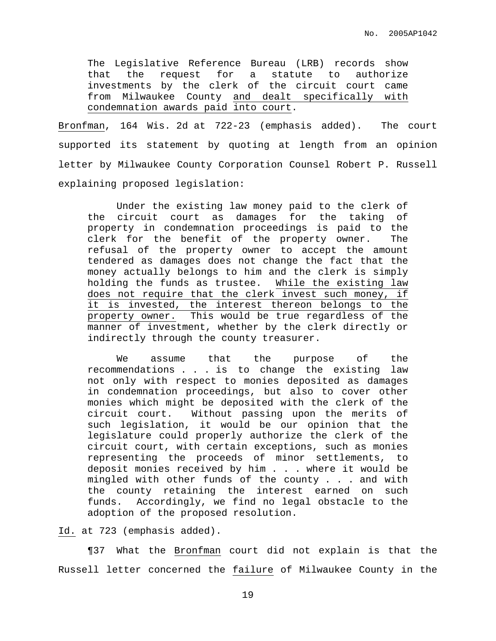The Legislative Reference Bureau (LRB) records show that the request for a statute to authorize investments by the clerk of the circuit court came from Milwaukee County and dealt specifically with condemnation awards paid into court.

Bronfman, 164 Wis. 2d at 722-23 (emphasis added). The court supported its statement by quoting at length from an opinion letter by Milwaukee County Corporation Counsel Robert P. Russell explaining proposed legislation:

Under the existing law money paid to the clerk of the circuit court as damages for the taking of property in condemnation proceedings is paid to the clerk for the benefit of the property owner. The refusal of the property owner to accept the amount tendered as damages does not change the fact that the money actually belongs to him and the clerk is simply holding the funds as trustee. While the existing law does not require that the clerk invest such money, if it is invested, the interest thereon belongs to the property owner. This would be true regardless of the manner of investment, whether by the clerk directly or indirectly through the county treasurer.

We assume that the purpose of the recommendations . . . is to change the existing law not only with respect to monies deposited as damages in condemnation proceedings, but also to cover other monies which might be deposited with the clerk of the circuit court. Without passing upon the merits of such legislation, it would be our opinion that the legislature could properly authorize the clerk of the circuit court, with certain exceptions, such as monies representing the proceeds of minor settlements, to deposit monies received by him . . . where it would be mingled with other funds of the county . . . and with the county retaining the interest earned on such funds. Accordingly, we find no legal obstacle to the adoption of the proposed resolution.

Id. at 723 (emphasis added).

¶37 What the Bronfman court did not explain is that the Russell letter concerned the failure of Milwaukee County in the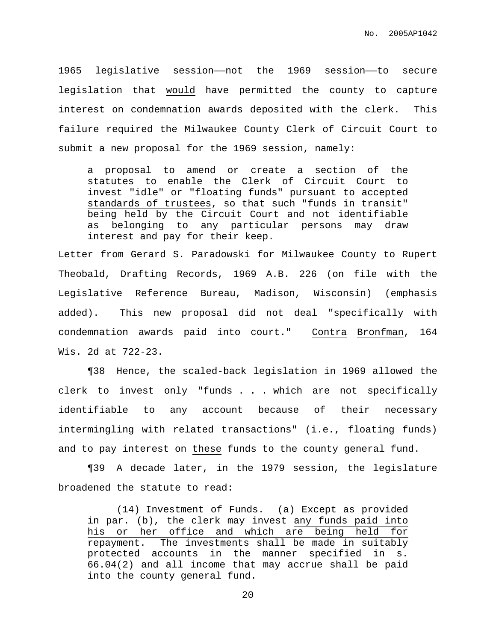1965 legislative session——not the 1969 session——to secure legislation that would have permitted the county to capture interest on condemnation awards deposited with the clerk. This failure required the Milwaukee County Clerk of Circuit Court to submit a new proposal for the 1969 session, namely:

a proposal to amend or create a section of the statutes to enable the Clerk of Circuit Court to invest "idle" or "floating funds" pursuant to accepted standards of trustees, so that such "funds in transit" being held by the Circuit Court and not identifiable as belonging to any particular persons may draw interest and pay for their keep.

Letter from Gerard S. Paradowski for Milwaukee County to Rupert Theobald, Drafting Records, 1969 A.B. 226 (on file with the Legislative Reference Bureau, Madison, Wisconsin) (emphasis added). This new proposal did not deal "specifically with condemnation awards paid into court." Contra Bronfman, 164 Wis. 2d at 722-23.

¶38 Hence, the scaled-back legislation in 1969 allowed the clerk to invest only "funds . . . which are not specifically identifiable to any account because of their necessary intermingling with related transactions" (i.e., floating funds) and to pay interest on these funds to the county general fund.

¶39 A decade later, in the 1979 session, the legislature broadened the statute to read:

(14) Investment of Funds. (a) Except as provided in par. (b), the clerk may invest any funds paid into his or her office and which are being held for repayment. The investments shall be made in suitably protected accounts in the manner specified in s. 66.04(2) and all income that may accrue shall be paid into the county general fund.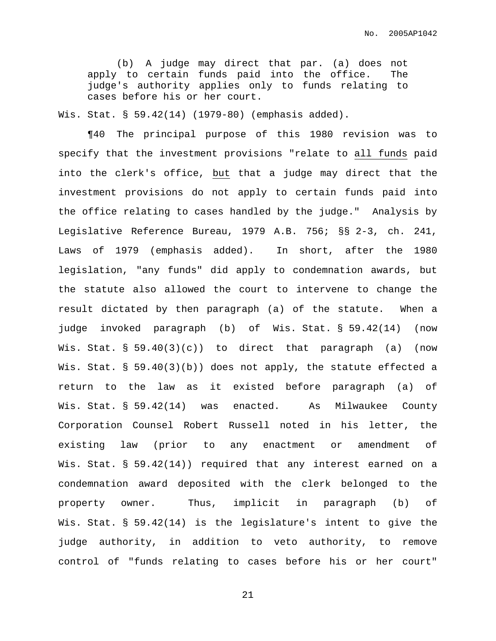(b) A judge may direct that par. (a) does not apply to certain funds paid into the office. The judge's authority applies only to funds relating to cases before his or her court.

Wis. Stat. § 59.42(14) (1979-80) (emphasis added).

¶40 The principal purpose of this 1980 revision was to specify that the investment provisions "relate to all funds paid into the clerk's office, but that a judge may direct that the investment provisions do not apply to certain funds paid into the office relating to cases handled by the judge." Analysis by Legislative Reference Bureau, 1979 A.B. 756; §§ 2-3, ch. 241, Laws of 1979 (emphasis added). In short, after the 1980 legislation, "any funds" did apply to condemnation awards, but the statute also allowed the court to intervene to change the result dictated by then paragraph (a) of the statute. When a judge invoked paragraph (b) of Wis. Stat. § 59.42(14) (now Wis. Stat. § 59.40(3)(c)) to direct that paragraph (a) (now Wis. Stat. § 59.40(3)(b)) does not apply, the statute effected a return to the law as it existed before paragraph (a) of Wis. Stat. § 59.42(14) was enacted. As Milwaukee County Corporation Counsel Robert Russell noted in his letter, the existing law (prior to any enactment or amendment of Wis. Stat. § 59.42(14)) required that any interest earned on a condemnation award deposited with the clerk belonged to the property owner. Thus, implicit in paragraph (b) of Wis. Stat. § 59.42(14) is the legislature's intent to give the judge authority, in addition to veto authority, to remove control of "funds relating to cases before his or her court"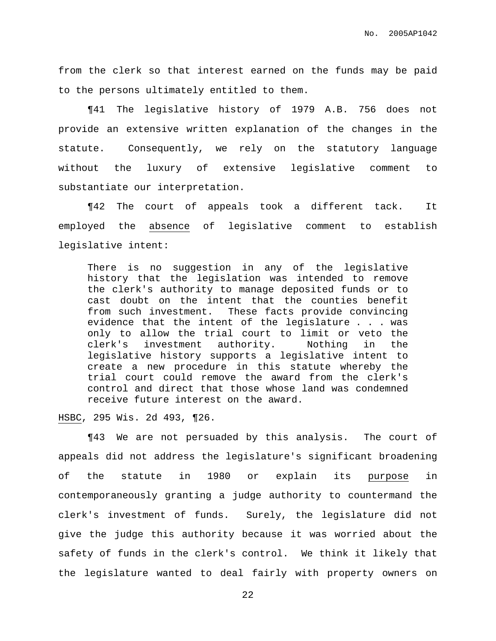from the clerk so that interest earned on the funds may be paid to the persons ultimately entitled to them.

¶41 The legislative history of 1979 A.B. 756 does not provide an extensive written explanation of the changes in the statute. Consequently, we rely on the statutory language without the luxury of extensive legislative comment to substantiate our interpretation.

¶42 The court of appeals took a different tack. It employed the absence of legislative comment to establish legislative intent:

There is no suggestion in any of the legislative history that the legislation was intended to remove the clerk's authority to manage deposited funds or to cast doubt on the intent that the counties benefit from such investment. These facts provide convincing evidence that the intent of the legislature . . . was only to allow the trial court to limit or veto the clerk's investment authority. Nothing in the legislative history supports a legislative intent to create a new procedure in this statute whereby the trial court could remove the award from the clerk's control and direct that those whose land was condemned receive future interest on the award.

HSBC, 295 Wis. 2d 493, ¶26.

¶43 We are not persuaded by this analysis. The court of appeals did not address the legislature's significant broadening of the statute in 1980 or explain its purpose in contemporaneously granting a judge authority to countermand the clerk's investment of funds. Surely, the legislature did not give the judge this authority because it was worried about the safety of funds in the clerk's control. We think it likely that the legislature wanted to deal fairly with property owners on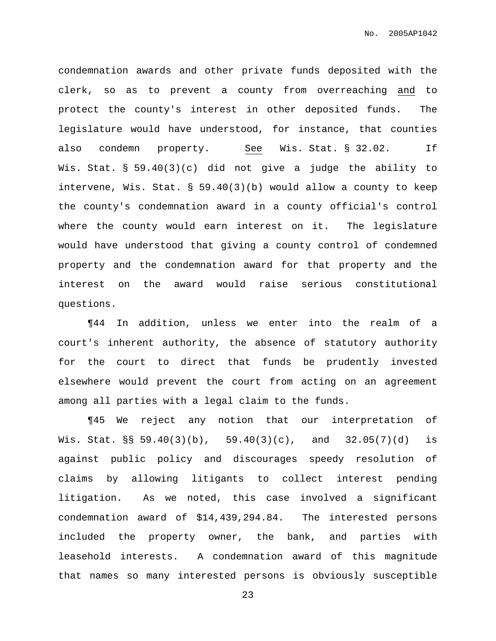condemnation awards and other private funds deposited with the clerk, so as to prevent a county from overreaching and to protect the county's interest in other deposited funds. The legislature would have understood, for instance, that counties also condemn property. See Wis. Stat. § 32.02. If Wis. Stat. § 59.40(3)(c) did not give a judge the ability to intervene, Wis. Stat. § 59.40(3)(b) would allow a county to keep the county's condemnation award in a county official's control where the county would earn interest on it. The legislature would have understood that giving a county control of condemned property and the condemnation award for that property and the interest on the award would raise serious constitutional questions.

¶44 In addition, unless we enter into the realm of a court's inherent authority, the absence of statutory authority for the court to direct that funds be prudently invested elsewhere would prevent the court from acting on an agreement among all parties with a legal claim to the funds.

¶45 We reject any notion that our interpretation of Wis. Stat.  $\S$ § 59.40(3)(b), 59.40(3)(c), and 32.05(7)(d) is against public policy and discourages speedy resolution of claims by allowing litigants to collect interest pending litigation. As we noted, this case involved a significant condemnation award of \$14,439,294.84. The interested persons included the property owner, the bank, and parties with leasehold interests. A condemnation award of this magnitude that names so many interested persons is obviously susceptible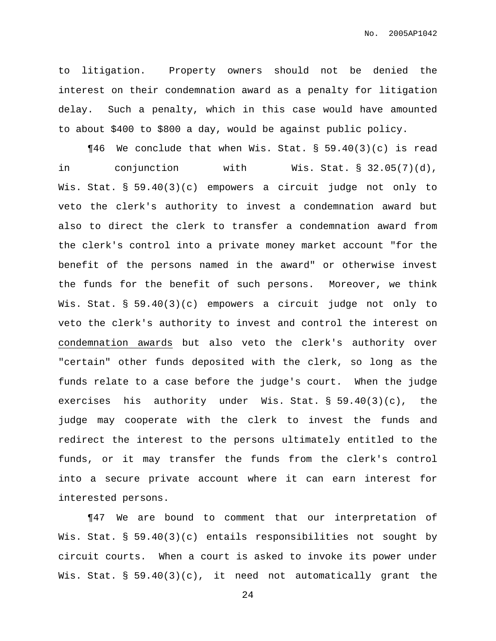to litigation. Property owners should not be denied the interest on their condemnation award as a penalty for litigation delay. Such a penalty, which in this case would have amounted to about \$400 to \$800 a day, would be against public policy.

 $\P46$  We conclude that when Wis. Stat. § 59.40(3)(c) is read in conjunction with Wis. Stat. § 32.05(7)(d), Wis. Stat. § 59.40(3)(c) empowers a circuit judge not only to veto the clerk's authority to invest a condemnation award but also to direct the clerk to transfer a condemnation award from the clerk's control into a private money market account "for the benefit of the persons named in the award" or otherwise invest the funds for the benefit of such persons. Moreover, we think Wis. Stat. § 59.40(3)(c) empowers a circuit judge not only to veto the clerk's authority to invest and control the interest on condemnation awards but also veto the clerk's authority over "certain" other funds deposited with the clerk, so long as the funds relate to a case before the judge's court. When the judge exercises his authority under Wis. Stat. § 59.40(3)(c), the judge may cooperate with the clerk to invest the funds and redirect the interest to the persons ultimately entitled to the funds, or it may transfer the funds from the clerk's control into a secure private account where it can earn interest for interested persons.

¶47 We are bound to comment that our interpretation of Wis. Stat. § 59.40(3)(c) entails responsibilities not sought by circuit courts. When a court is asked to invoke its power under Wis. Stat. § 59.40(3)(c), it need not automatically grant the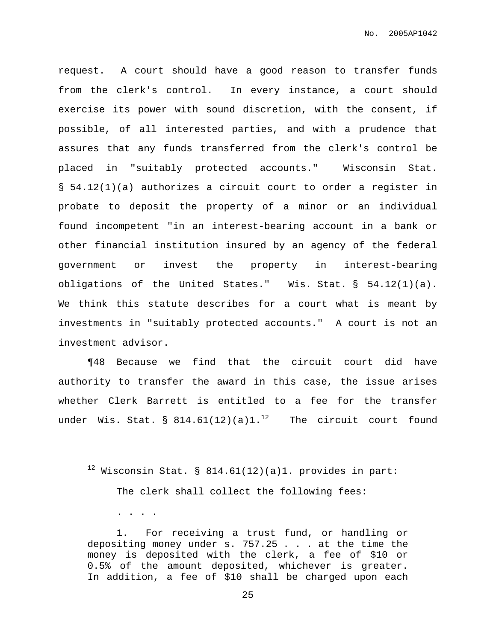request. A court should have a good reason to transfer funds from the clerk's control. In every instance, a court should exercise its power with sound discretion, with the consent, if possible, of all interested parties, and with a prudence that assures that any funds transferred from the clerk's control be placed in "suitably protected accounts." Wisconsin Stat. § 54.12(1)(a) authorizes a circuit court to order a register in probate to deposit the property of a minor or an individual found incompetent "in an interest-bearing account in a bank or other financial institution insured by an agency of the federal government or invest the property in interest-bearing obligations of the United States." Wis. Stat. § 54.12(1)(a). We think this statute describes for a court what is meant by investments in "suitably protected accounts." A court is not an investment advisor.

¶48 Because we find that the circuit court did have authority to transfer the award in this case, the issue arises whether Clerk Barrett is entitled to a fee for the transfer under Wis. Stat. §  $814.61(12)$ (a) $1.^{12}$  The circuit court found

 $12$  Wisconsin Stat. § 814.61(12)(a)1. provides in part:

The clerk shall collect the following fees:

. . . .

1. For receiving a trust fund, or handling or depositing money under s. 757.25 . . . at the time the money is deposited with the clerk, a fee of \$10 or 0.5% of the amount deposited, whichever is greater. In addition, a fee of \$10 shall be charged upon each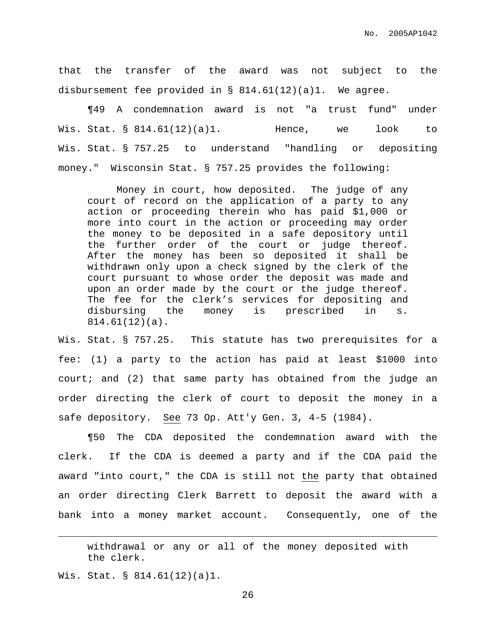that the transfer of the award was not subject to the disbursement fee provided in § 814.61(12)(a)1. We agree.

¶49 A condemnation award is not "a trust fund" under Wis. Stat. § 814.61(12)(a)1. Hence, we look to Wis. Stat. § 757.25 to understand "handling or depositing money." Wisconsin Stat. § 757.25 provides the following:

Money in court, how deposited. The judge of any court of record on the application of a party to any action or proceeding therein who has paid \$1,000 or more into court in the action or proceeding may order the money to be deposited in a safe depository until the further order of the court or judge thereof. After the money has been so deposited it shall be withdrawn only upon a check signed by the clerk of the court pursuant to whose order the deposit was made and upon an order made by the court or the judge thereof. The fee for the clerk's services for depositing and disbursing the money is prescribed in s. 814.61(12)(a).

Wis. Stat. § 757.25. This statute has two prerequisites for a fee: (1) a party to the action has paid at least \$1000 into court; and (2) that same party has obtained from the judge an order directing the clerk of court to deposit the money in a safe depository. See 73 Op. Att'y Gen. 3, 4-5 (1984).

¶50 The CDA deposited the condemnation award with the clerk. If the CDA is deemed a party and if the CDA paid the award "into court," the CDA is still not the party that obtained an order directing Clerk Barrett to deposit the award with a bank into a money market account. Consequently, one of the

withdrawal or any or all of the money deposited with the clerk.

Wis. Stat. § 814.61(12)(a)1.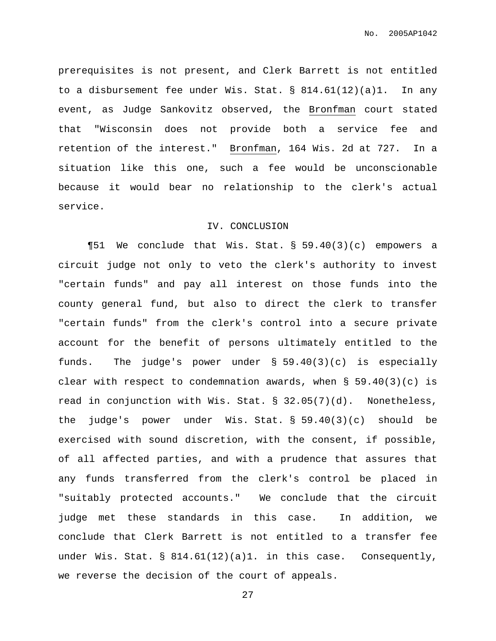prerequisites is not present, and Clerk Barrett is not entitled to a disbursement fee under Wis. Stat. §  $814.61(12)(a)1$ . In any event, as Judge Sankovitz observed, the Bronfman court stated that "Wisconsin does not provide both a service fee and retention of the interest." Bronfman, 164 Wis. 2d at 727. In a situation like this one, such a fee would be unconscionable because it would bear no relationship to the clerk's actual service.

#### IV. CONCLUSION

¶51 We conclude that Wis. Stat. § 59.40(3)(c) empowers a circuit judge not only to veto the clerk's authority to invest "certain funds" and pay all interest on those funds into the county general fund, but also to direct the clerk to transfer "certain funds" from the clerk's control into a secure private account for the benefit of persons ultimately entitled to the funds. The judge's power under § 59.40(3)(c) is especially clear with respect to condemnation awards, when  $\S$  59.40(3)(c) is read in conjunction with Wis. Stat. § 32.05(7)(d). Nonetheless, the judge's power under Wis. Stat. § 59.40(3)(c) should be exercised with sound discretion, with the consent, if possible, of all affected parties, and with a prudence that assures that any funds transferred from the clerk's control be placed in "suitably protected accounts." We conclude that the circuit judge met these standards in this case. In addition, we conclude that Clerk Barrett is not entitled to a transfer fee under Wis. Stat.  $\S$  814.61(12)(a)1. in this case. Consequently, we reverse the decision of the court of appeals.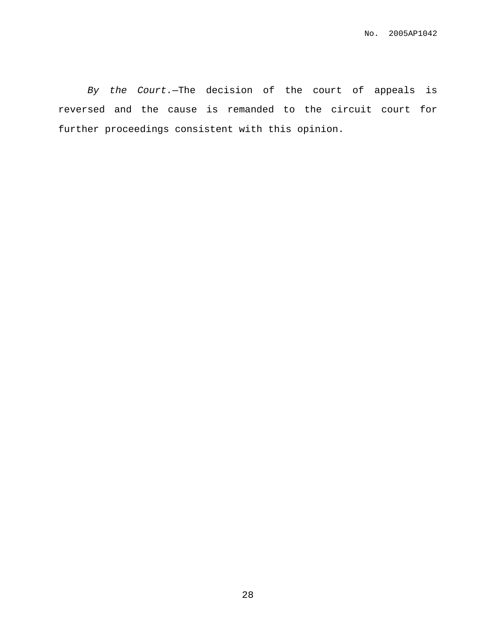By the Court.—The decision of the court of appeals is reversed and the cause is remanded to the circuit court for further proceedings consistent with this opinion.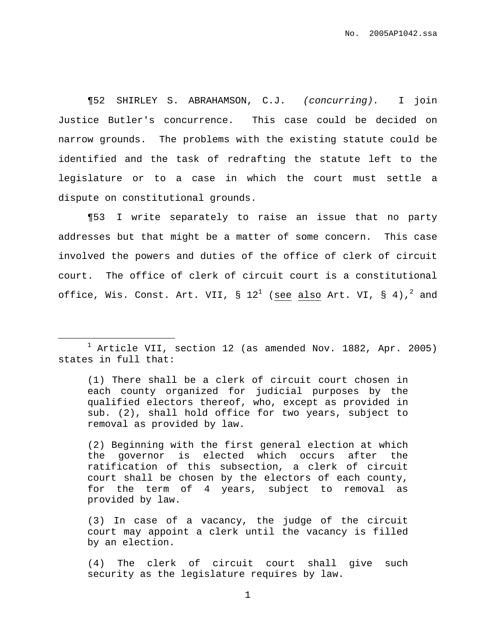¶52 SHIRLEY S. ABRAHAMSON, C.J. (concurring). I join Justice Butler's concurrence. This case could be decided on narrow grounds. The problems with the existing statute could be identified and the task of redrafting the statute left to the legislature or to a case in which the court must settle a dispute on constitutional grounds.

¶53 I write separately to raise an issue that no party addresses but that might be a matter of some concern. This case involved the powers and duties of the office of clerk of circuit court. The office of clerk of circuit court is a constitutional office, Wis. Const. Art. VII, §  $12^1$  (see also Art. VI, § 4), $^2$  and

(1) There shall be a clerk of circuit court chosen in each county organized for judicial purposes by the qualified electors thereof, who, except as provided in sub. (2), shall hold office for two years, subject to removal as provided by law.

(2) Beginning with the first general election at which the governor is elected which occurs after the ratification of this subsection, a clerk of circuit court shall be chosen by the electors of each county, for the term of 4 years, subject to removal as provided by law.

(3) In case of a vacancy, the judge of the circuit court may appoint a clerk until the vacancy is filled by an election.

(4) The clerk of circuit court shall give such security as the legislature requires by law.

 $1$  Article VII, section 12 (as amended Nov. 1882, Apr. 2005) states in full that: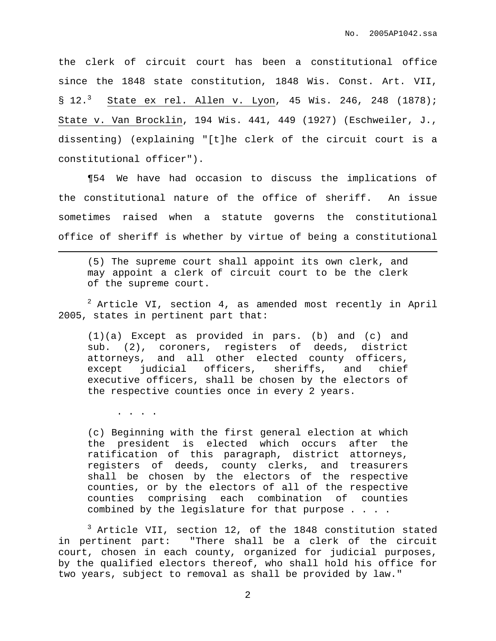the clerk of circuit court has been a constitutional office since the 1848 state constitution, 1848 Wis. Const. Art. VII,  $$12.^3$  State ex rel. Allen v. Lyon, 45 Wis. 246, 248 (1878); State v. Van Brocklin, 194 Wis. 441, 449 (1927) (Eschweiler, J., dissenting) (explaining "[t]he clerk of the circuit court is a constitutional officer").

¶54 We have had occasion to discuss the implications of the constitutional nature of the office of sheriff. An issue sometimes raised when a statute governs the constitutional office of sheriff is whether by virtue of being a constitutional

(5) The supreme court shall appoint its own clerk, and may appoint a clerk of circuit court to be the clerk of the supreme court.

 $2$  Article VI, section 4, as amended most recently in April 2005, states in pertinent part that:

(1)(a) Except as provided in pars. (b) and (c) and sub. (2), coroners, registers of deeds, district attorneys, and all other elected county officers, except judicial officers, sheriffs, and chief executive officers, shall be chosen by the electors of the respective counties once in every 2 years.

. . . .

(c) Beginning with the first general election at which the president is elected which occurs after the ratification of this paragraph, district attorneys, registers of deeds, county clerks, and treasurers shall be chosen by the electors of the respective counties, or by the electors of all of the respective counties comprising each combination of counties combined by the legislature for that purpose . . . .

<sup>3</sup> Article VII, section 12, of the 1848 constitution stated in pertinent part: "There shall be a clerk of the circuit court, chosen in each county, organized for judicial purposes, by the qualified electors thereof, who shall hold his office for two years, subject to removal as shall be provided by law."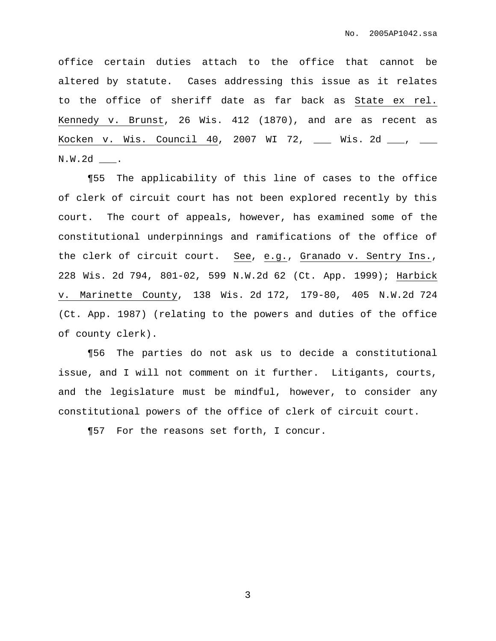office certain duties attach to the office that cannot be altered by statute. Cases addressing this issue as it relates to the office of sheriff date as far back as State ex rel. Kennedy v. Brunst, 26 Wis. 412 (1870), and are as recent as Kocken v. Wis. Council 40, 2007 WI 72, \_\_\_ Wis. 2d \_\_\_, \_\_\_ N.W.2d \_\_\_.

¶55 The applicability of this line of cases to the office of clerk of circuit court has not been explored recently by this court. The court of appeals, however, has examined some of the constitutional underpinnings and ramifications of the office of the clerk of circuit court. See, e.g., Granado v. Sentry Ins., 228 Wis. 2d 794, 801-02, 599 N.W.2d 62 (Ct. App. 1999); Harbick v. Marinette County, 138 Wis. 2d 172, 179-80, 405 N.W.2d 724 (Ct. App. 1987) (relating to the powers and duties of the office of county clerk).

¶56 The parties do not ask us to decide a constitutional issue, and I will not comment on it further. Litigants, courts, and the legislature must be mindful, however, to consider any constitutional powers of the office of clerk of circuit court.

¶57 For the reasons set forth, I concur.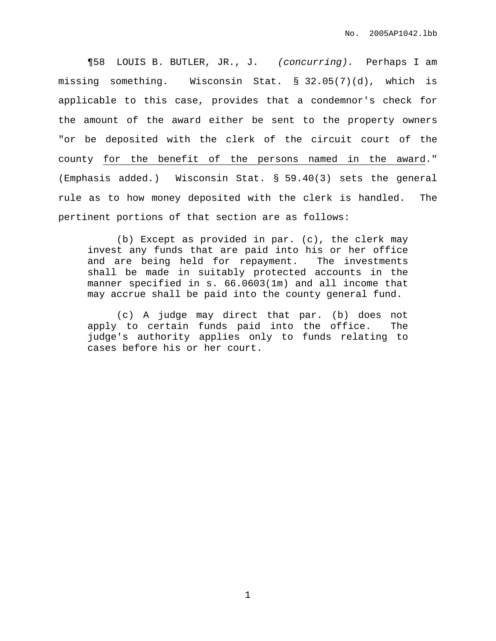¶58 LOUIS B. BUTLER, JR., J. (concurring). Perhaps I am missing something. Wisconsin Stat. § 32.05(7)(d), which is applicable to this case, provides that a condemnor's check for the amount of the award either be sent to the property owners "or be deposited with the clerk of the circuit court of the county for the benefit of the persons named in the award." (Emphasis added.) Wisconsin Stat. § 59.40(3) sets the general rule as to how money deposited with the clerk is handled. The pertinent portions of that section are as follows:

(b) Except as provided in par. (c), the clerk may invest any funds that are paid into his or her office and are being held for repayment. The investments shall be made in suitably protected accounts in the manner specified in s. 66.0603(1m) and all income that may accrue shall be paid into the county general fund.

(c) A judge may direct that par. (b) does not apply to certain funds paid into the office. The judge's authority applies only to funds relating to cases before his or her court.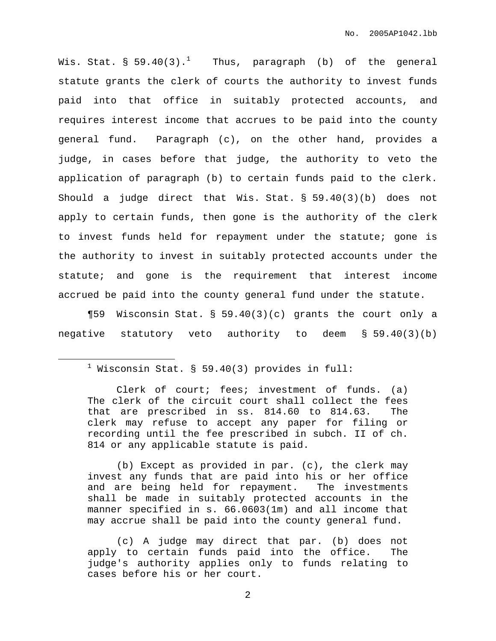Wis. Stat. § 59.40(3). $^1$  Thus, paragraph (b) of the general statute grants the clerk of courts the authority to invest funds paid into that office in suitably protected accounts, and requires interest income that accrues to be paid into the county general fund. Paragraph (c), on the other hand, provides a judge, in cases before that judge, the authority to veto the application of paragraph (b) to certain funds paid to the clerk. Should a judge direct that Wis. Stat. § 59.40(3)(b) does not apply to certain funds, then gone is the authority of the clerk to invest funds held for repayment under the statute; gone is the authority to invest in suitably protected accounts under the statute; and gone is the requirement that interest income accrued be paid into the county general fund under the statute.

¶59 Wisconsin Stat. § 59.40(3)(c) grants the court only a negative statutory veto authority to deem § 59.40(3)(b)

(b) Except as provided in par. (c), the clerk may invest any funds that are paid into his or her office and are being held for repayment. The investments shall be made in suitably protected accounts in the manner specified in s. 66.0603(1m) and all income that may accrue shall be paid into the county general fund.

 $1$  Wisconsin Stat. § 59.40(3) provides in full:

Clerk of court; fees; investment of funds. (a) The clerk of the circuit court shall collect the fees that are prescribed in ss. 814.60 to 814.63. The clerk may refuse to accept any paper for filing or recording until the fee prescribed in subch. II of ch. 814 or any applicable statute is paid.

<sup>(</sup>c) A judge may direct that par. (b) does not apply to certain funds paid into the office. The judge's authority applies only to funds relating to cases before his or her court.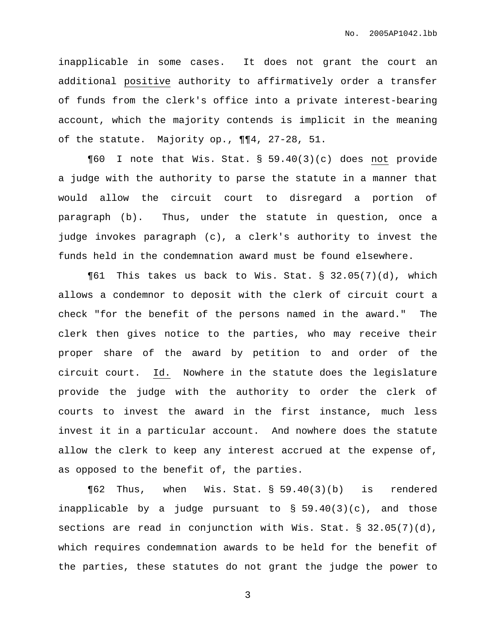inapplicable in some cases. It does not grant the court an additional positive authority to affirmatively order a transfer of funds from the clerk's office into a private interest-bearing account, which the majority contends is implicit in the meaning of the statute. Majority op., ¶¶4, 27-28, 51.

¶60 I note that Wis. Stat. § 59.40(3)(c) does not provide a judge with the authority to parse the statute in a manner that would allow the circuit court to disregard a portion of paragraph (b). Thus, under the statute in question, once a judge invokes paragraph (c), a clerk's authority to invest the funds held in the condemnation award must be found elsewhere.

¶61 This takes us back to Wis. Stat. § 32.05(7)(d), which allows a condemnor to deposit with the clerk of circuit court a check "for the benefit of the persons named in the award." The clerk then gives notice to the parties, who may receive their proper share of the award by petition to and order of the circuit court. Id. Nowhere in the statute does the legislature provide the judge with the authority to order the clerk of courts to invest the award in the first instance, much less invest it in a particular account. And nowhere does the statute allow the clerk to keep any interest accrued at the expense of, as opposed to the benefit of, the parties.

¶62 Thus, when Wis. Stat. § 59.40(3)(b) is rendered inapplicable by a judge pursuant to  $\S$  59.40(3)(c), and those sections are read in conjunction with Wis. Stat. § 32.05(7)(d), which requires condemnation awards to be held for the benefit of the parties, these statutes do not grant the judge the power to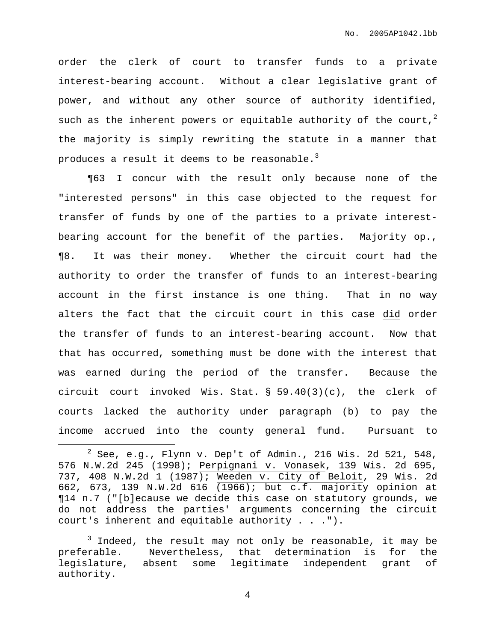order the clerk of court to transfer funds to a private interest-bearing account. Without a clear legislative grant of power, and without any other source of authority identified, such as the inherent powers or equitable authority of the court, $^2$ the majority is simply rewriting the statute in a manner that produces a result it deems to be reasonable. $^3$ 

¶63 I concur with the result only because none of the "interested persons" in this case objected to the request for transfer of funds by one of the parties to a private interestbearing account for the benefit of the parties. Majority op., ¶8. It was their money. Whether the circuit court had the authority to order the transfer of funds to an interest-bearing account in the first instance is one thing. That in no way alters the fact that the circuit court in this case did order the transfer of funds to an interest-bearing account. Now that that has occurred, something must be done with the interest that was earned during the period of the transfer. Because the circuit court invoked Wis. Stat. § 59.40(3)(c), the clerk of courts lacked the authority under paragraph (b) to pay the income accrued into the county general fund. Pursuant to

 $2$  See, e.g., Flynn v. Dep't of Admin., 216 Wis. 2d 521, 548, 576 N.W.2d 245 (1998); Perpignani v. Vonasek, 139 Wis. 2d 695, 737, 408 N.W.2d 1 (1987); Weeden v. City of Beloit, 29 Wis. 2d 662, 673, 139 N.W.2d 616 (1966); but c.f. majority opinion at ¶14 n.7 ("[b]ecause we decide this case on statutory grounds, we do not address the parties' arguments concerning the circuit court's inherent and equitable authority . . .").

 $3$  Indeed, the result may not only be reasonable, it may be preferable. Nevertheless, that determination is for the legislature, absent some legitimate independent grant of authority.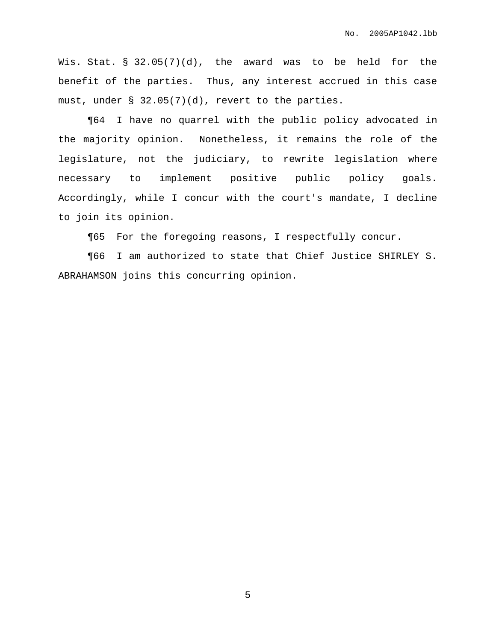Wis. Stat. § 32.05(7)(d), the award was to be held for the benefit of the parties. Thus, any interest accrued in this case must, under  $\S$  32.05(7)(d), revert to the parties.

¶64 I have no quarrel with the public policy advocated in the majority opinion. Nonetheless, it remains the role of the legislature, not the judiciary, to rewrite legislation where necessary to implement positive public policy goals. Accordingly, while I concur with the court's mandate, I decline to join its opinion.

¶65 For the foregoing reasons, I respectfully concur.

¶66 I am authorized to state that Chief Justice SHIRLEY S. ABRAHAMSON joins this concurring opinion.